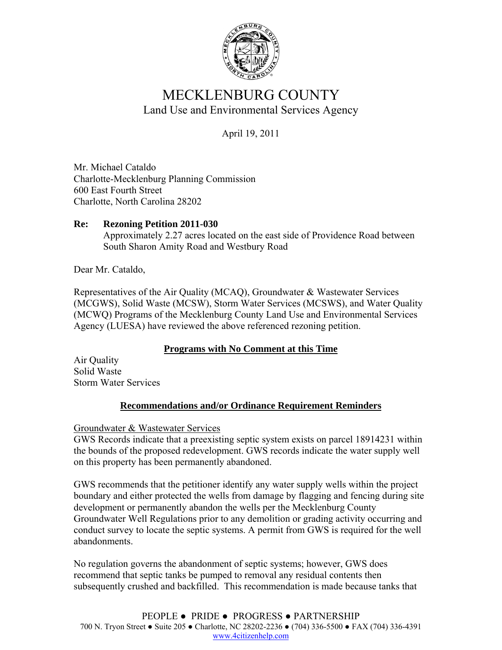

# MECKLENBURG COUNTY Land Use and Environmental Services Agency

April 19, 2011

Mr. Michael Cataldo Charlotte-Mecklenburg Planning Commission 600 East Fourth Street Charlotte, North Carolina 28202

#### **Re: Rezoning Petition 2011-030**  Approximately 2.27 acres located on the east side of Providence Road between South Sharon Amity Road and Westbury Road

Dear Mr. Cataldo,

Representatives of the Air Quality (MCAQ), Groundwater & Wastewater Services (MCGWS), Solid Waste (MCSW), Storm Water Services (MCSWS), and Water Quality (MCWQ) Programs of the Mecklenburg County Land Use and Environmental Services Agency (LUESA) have reviewed the above referenced rezoning petition.

## **Programs with No Comment at this Time**

Air Quality Solid Waste Storm Water Services

## **Recommendations and/or Ordinance Requirement Reminders**

Groundwater & Wastewater Services

GWS Records indicate that a preexisting septic system exists on parcel 18914231 within the bounds of the proposed redevelopment. GWS records indicate the water supply well on this property has been permanently abandoned.

GWS recommends that the petitioner identify any water supply wells within the project boundary and either protected the wells from damage by flagging and fencing during site development or permanently abandon the wells per the Mecklenburg County Groundwater Well Regulations prior to any demolition or grading activity occurring and conduct survey to locate the septic systems. A permit from GWS is required for the well abandonments.

No regulation governs the abandonment of septic systems; however, GWS does recommend that septic tanks be pumped to removal any residual contents then subsequently crushed and backfilled. This recommendation is made because tanks that